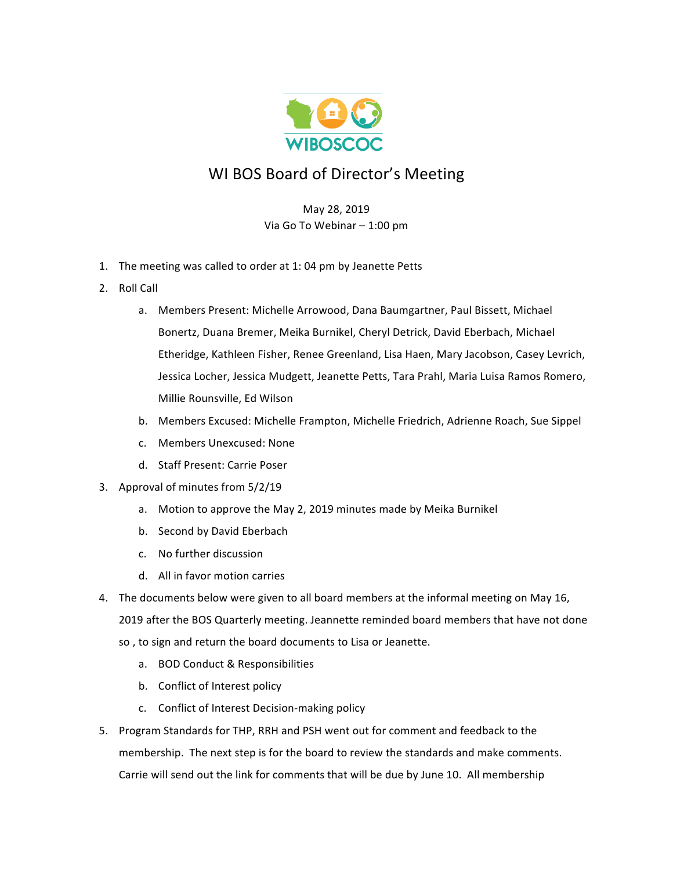

## WI BOS Board of Director's Meeting

## May 28, 2019 Via Go To Webinar - 1:00 pm

- 1. The meeting was called to order at 1: 04 pm by Jeanette Petts
- 2. Roll Call
	- a. Members Present: Michelle Arrowood, Dana Baumgartner, Paul Bissett, Michael Bonertz, Duana Bremer, Meika Burnikel, Cheryl Detrick, David Eberbach, Michael Etheridge, Kathleen Fisher, Renee Greenland, Lisa Haen, Mary Jacobson, Casey Levrich, Jessica Locher, Jessica Mudgett, Jeanette Petts, Tara Prahl, Maria Luisa Ramos Romero, Millie Rounsville, Ed Wilson
	- b. Members Excused: Michelle Frampton, Michelle Friedrich, Adrienne Roach, Sue Sippel
	- c. Members Unexcused: None
	- d. Staff Present: Carrie Poser
- 3. Approval of minutes from 5/2/19
	- a. Motion to approve the May 2, 2019 minutes made by Meika Burnikel
	- b. Second by David Eberbach
	- c. No further discussion
	- d. All in favor motion carries
- 4. The documents below were given to all board members at the informal meeting on May 16, 2019 after the BOS Quarterly meeting. Jeannette reminded board members that have not done so, to sign and return the board documents to Lisa or Jeanette.
	- a. BOD Conduct & Responsibilities
	- b. Conflict of Interest policy
	- c. Conflict of Interest Decision-making policy
- 5. Program Standards for THP, RRH and PSH went out for comment and feedback to the membership. The next step is for the board to review the standards and make comments. Carrie will send out the link for comments that will be due by June 10. All membership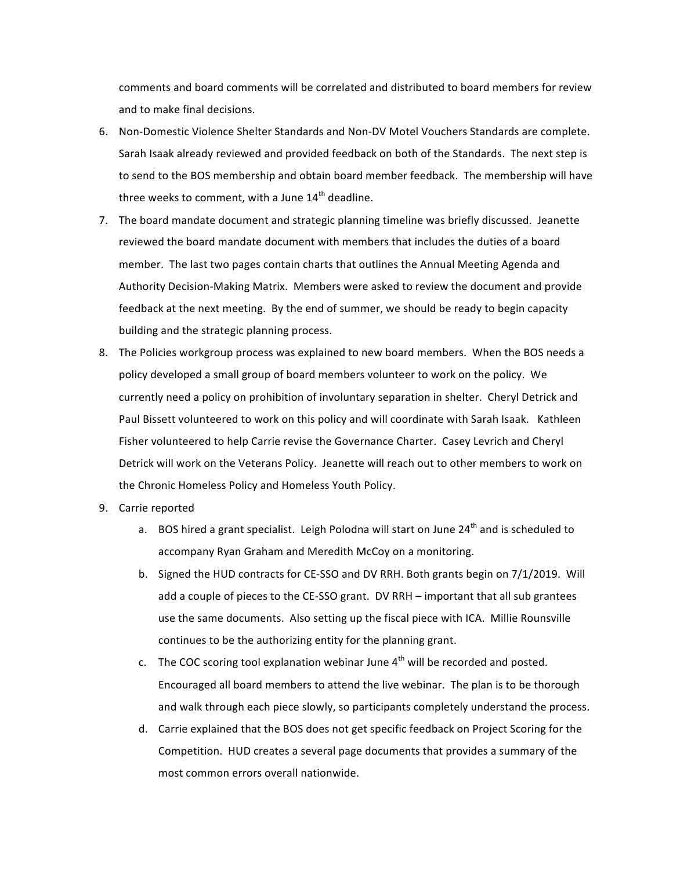comments and board comments will be correlated and distributed to board members for review and to make final decisions.

- 6. Non-Domestic Violence Shelter Standards and Non-DV Motel Vouchers Standards are complete. Sarah Isaak already reviewed and provided feedback on both of the Standards. The next step is to send to the BOS membership and obtain board member feedback. The membership will have three weeks to comment, with a June  $14<sup>th</sup>$  deadline.
- 7. The board mandate document and strategic planning timeline was briefly discussed. Jeanette reviewed the board mandate document with members that includes the duties of a board member. The last two pages contain charts that outlines the Annual Meeting Agenda and Authority Decision-Making Matrix. Members were asked to review the document and provide feedback at the next meeting. By the end of summer, we should be ready to begin capacity building and the strategic planning process.
- 8. The Policies workgroup process was explained to new board members. When the BOS needs a policy developed a small group of board members volunteer to work on the policy. We currently need a policy on prohibition of involuntary separation in shelter. Cheryl Detrick and Paul Bissett volunteered to work on this policy and will coordinate with Sarah Isaak. Kathleen Fisher volunteered to help Carrie revise the Governance Charter. Casey Levrich and Cheryl Detrick will work on the Veterans Policy. Jeanette will reach out to other members to work on the Chronic Homeless Policy and Homeless Youth Policy.
- 9. Carrie reported
	- a. BOS hired a grant specialist. Leigh Polodna will start on June  $24^{th}$  and is scheduled to accompany Ryan Graham and Meredith McCoy on a monitoring.
	- b. Signed the HUD contracts for CE-SSO and DV RRH. Both grants begin on 7/1/2019. Will add a couple of pieces to the CE-SSO grant. DV RRH – important that all sub grantees use the same documents. Also setting up the fiscal piece with ICA. Millie Rounsville continues to be the authorizing entity for the planning grant.
	- c. The COC scoring tool explanation webinar June  $4<sup>th</sup>$  will be recorded and posted. Encouraged all board members to attend the live webinar. The plan is to be thorough and walk through each piece slowly, so participants completely understand the process.
	- d. Carrie explained that the BOS does not get specific feedback on Project Scoring for the Competition. HUD creates a several page documents that provides a summary of the most common errors overall nationwide.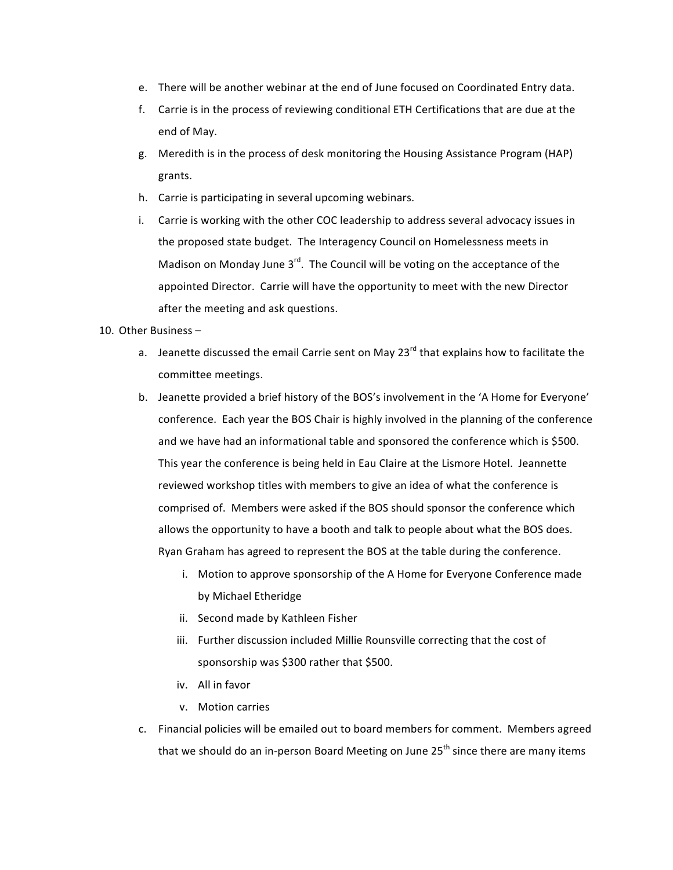- e. There will be another webinar at the end of June focused on Coordinated Entry data.
- f. Carrie is in the process of reviewing conditional ETH Certifications that are due at the end of May.
- g. Meredith is in the process of desk monitoring the Housing Assistance Program (HAP) grants.
- h. Carrie is participating in several upcoming webinars.
- i. Carrie is working with the other COC leadership to address several advocacy issues in the proposed state budget. The Interagency Council on Homelessness meets in Madison on Monday June  $3^{rd}$ . The Council will be voting on the acceptance of the appointed Director. Carrie will have the opportunity to meet with the new Director after the meeting and ask questions.
- 10. Other Business
	- a. Jeanette discussed the email Carrie sent on May 23 $^{rd}$  that explains how to facilitate the committee meetings.
	- b. Jeanette provided a brief history of the BOS's involvement in the 'A Home for Everyone' conference. Each year the BOS Chair is highly involved in the planning of the conference and we have had an informational table and sponsored the conference which is \$500. This year the conference is being held in Eau Claire at the Lismore Hotel. Jeannette reviewed workshop titles with members to give an idea of what the conference is comprised of. Members were asked if the BOS should sponsor the conference which allows the opportunity to have a booth and talk to people about what the BOS does. Ryan Graham has agreed to represent the BOS at the table during the conference.
		- i. Motion to approve sponsorship of the A Home for Everyone Conference made by Michael Etheridge
		- ii. Second made by Kathleen Fisher
		- iii. Further discussion included Millie Rounsville correcting that the cost of sponsorship was \$300 rather that \$500.
		- iv. All in favor
		- v. Motion carries
	- c. Financial policies will be emailed out to board members for comment. Members agreed that we should do an in-person Board Meeting on June 25<sup>th</sup> since there are many items